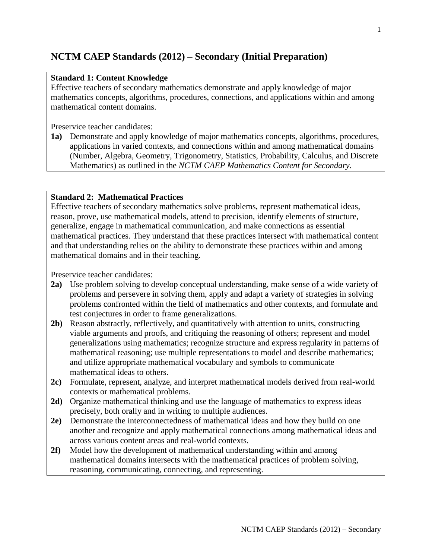# **NCTM CAEP Standards (2012) – Secondary (Initial Preparation)**

### **Standard 1: Content Knowledge**

Effective teachers of secondary mathematics demonstrate and apply knowledge of major mathematics concepts, algorithms, procedures, connections, and applications within and among mathematical content domains.

Preservice teacher candidates:

**1a)** Demonstrate and apply knowledge of major mathematics concepts, algorithms, procedures, applications in varied contexts, and connections within and among mathematical domains (Number, Algebra, Geometry, Trigonometry, Statistics, Probability, Calculus, and Discrete Mathematics) as outlined in the *NCTM CAEP Mathematics Content for Secondary*.

## **Standard 2: Mathematical Practices**

Effective teachers of secondary mathematics solve problems, represent mathematical ideas, reason, prove, use mathematical models, attend to precision, identify elements of structure, generalize, engage in mathematical communication, and make connections as essential mathematical practices. They understand that these practices intersect with mathematical content and that understanding relies on the ability to demonstrate these practices within and among mathematical domains and in their teaching.

- **2a)** Use problem solving to develop conceptual understanding, make sense of a wide variety of problems and persevere in solving them, apply and adapt a variety of strategies in solving problems confronted within the field of mathematics and other contexts, and formulate and test conjectures in order to frame generalizations.
- **2b)** Reason abstractly, reflectively, and quantitatively with attention to units, constructing viable arguments and proofs, and critiquing the reasoning of others; represent and model generalizations using mathematics; recognize structure and express regularity in patterns of mathematical reasoning; use multiple representations to model and describe mathematics; and utilize appropriate mathematical vocabulary and symbols to communicate mathematical ideas to others.
- **2c)** Formulate, represent, analyze, and interpret mathematical models derived from real-world contexts or mathematical problems.
- **2d)** Organize mathematical thinking and use the language of mathematics to express ideas precisely, both orally and in writing to multiple audiences.
- **2e)** Demonstrate the interconnectedness of mathematical ideas and how they build on one another and recognize and apply mathematical connections among mathematical ideas and across various content areas and real-world contexts.
- **2f)** Model how the development of mathematical understanding within and among mathematical domains intersects with the mathematical practices of problem solving, reasoning, communicating, connecting, and representing.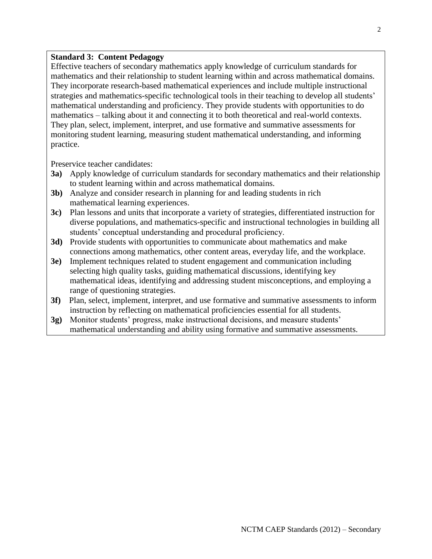#### **Standard 3: Content Pedagogy**

Effective teachers of secondary mathematics apply knowledge of curriculum standards for mathematics and their relationship to student learning within and across mathematical domains. They incorporate research-based mathematical experiences and include multiple instructional strategies and mathematics-specific technological tools in their teaching to develop all students' mathematical understanding and proficiency. They provide students with opportunities to do mathematics – talking about it and connecting it to both theoretical and real-world contexts. They plan, select, implement, interpret, and use formative and summative assessments for monitoring student learning, measuring student mathematical understanding, and informing practice.

- **3a)** Apply knowledge of curriculum standards for secondary mathematics and their relationship to student learning within and across mathematical domains.
- **3b)** Analyze and consider research in planning for and leading students in rich mathematical learning experiences.
- **3c)** Plan lessons and units that incorporate a variety of strategies, differentiated instruction for diverse populations, and mathematics-specific and instructional technologies in building all students' conceptual understanding and procedural proficiency.
- **3d)** Provide students with opportunities to communicate about mathematics and make connections among mathematics, other content areas, everyday life, and the workplace.
- **3e)** Implement techniques related to student engagement and communication including selecting high quality tasks, guiding mathematical discussions, identifying key mathematical ideas, identifying and addressing student misconceptions, and employing a range of questioning strategies.
- **3f)** Plan, select, implement, interpret, and use formative and summative assessments to inform instruction by reflecting on mathematical proficiencies essential for all students.
- **3g)** Monitor students' progress, make instructional decisions, and measure students' mathematical understanding and ability using formative and summative assessments.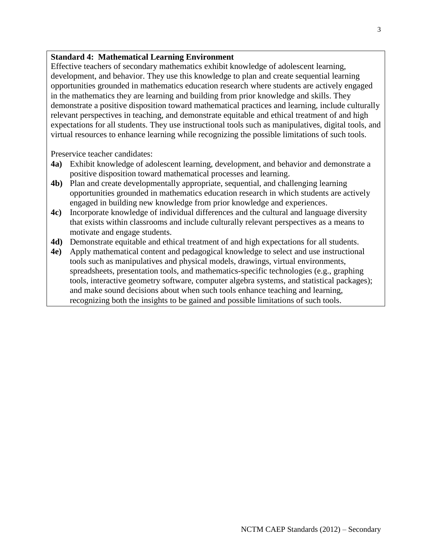#### **Standard 4: Mathematical Learning Environment**

Effective teachers of secondary mathematics exhibit knowledge of adolescent learning, development, and behavior. They use this knowledge to plan and create sequential learning opportunities grounded in mathematics education research where students are actively engaged in the mathematics they are learning and building from prior knowledge and skills. They demonstrate a positive disposition toward mathematical practices and learning, include culturally relevant perspectives in teaching, and demonstrate equitable and ethical treatment of and high expectations for all students. They use instructional tools such as manipulatives, digital tools, and virtual resources to enhance learning while recognizing the possible limitations of such tools.

- **4a)** Exhibit knowledge of adolescent learning, development, and behavior and demonstrate a positive disposition toward mathematical processes and learning.
- **4b)** Plan and create developmentally appropriate, sequential, and challenging learning opportunities grounded in mathematics education research in which students are actively engaged in building new knowledge from prior knowledge and experiences.
- **4c)** Incorporate knowledge of individual differences and the cultural and language diversity that exists within classrooms and include culturally relevant perspectives as a means to motivate and engage students.
- **4d)** Demonstrate equitable and ethical treatment of and high expectations for all students.
- **4e)** Apply mathematical content and pedagogical knowledge to select and use instructional tools such as manipulatives and physical models, drawings, virtual environments, spreadsheets, presentation tools, and mathematics-specific technologies (e.g., graphing tools, interactive geometry software, computer algebra systems, and statistical packages); and make sound decisions about when such tools enhance teaching and learning, recognizing both the insights to be gained and possible limitations of such tools.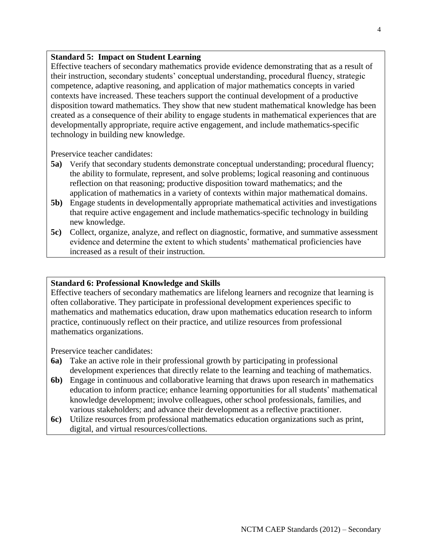#### **Standard 5: Impact on Student Learning**

Effective teachers of secondary mathematics provide evidence demonstrating that as a result of their instruction, secondary students' conceptual understanding, procedural fluency, strategic competence, adaptive reasoning, and application of major mathematics concepts in varied contexts have increased. These teachers support the continual development of a productive disposition toward mathematics. They show that new student mathematical knowledge has been created as a consequence of their ability to engage students in mathematical experiences that are developmentally appropriate, require active engagement, and include mathematics-specific technology in building new knowledge.

Preservice teacher candidates:

- **5a)** Verify that secondary students demonstrate conceptual understanding; procedural fluency; the ability to formulate, represent, and solve problems; logical reasoning and continuous reflection on that reasoning; productive disposition toward mathematics; and the application of mathematics in a variety of contexts within major mathematical domains.
- **5b)** Engage students in developmentally appropriate mathematical activities and investigations that require active engagement and include mathematics-specific technology in building new knowledge.
- **5c)** Collect, organize, analyze, and reflect on diagnostic, formative, and summative assessment evidence and determine the extent to which students' mathematical proficiencies have increased as a result of their instruction.

#### **Standard 6: Professional Knowledge and Skills**

Effective teachers of secondary mathematics are lifelong learners and recognize that learning is often collaborative. They participate in professional development experiences specific to mathematics and mathematics education, draw upon mathematics education research to inform practice, continuously reflect on their practice, and utilize resources from professional mathematics organizations.

- **6a)** Take an active role in their professional growth by participating in professional development experiences that directly relate to the learning and teaching of mathematics.
- **6b)** Engage in continuous and collaborative learning that draws upon research in mathematics education to inform practice; enhance learning opportunities for all students' mathematical knowledge development; involve colleagues, other school professionals, families, and various stakeholders; and advance their development as a reflective practitioner.
- **6c)** Utilize resources from professional mathematics education organizations such as print, digital, and virtual resources/collections.